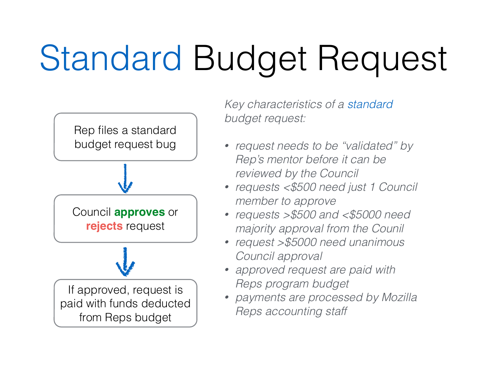## Standard Budget Request



*Key characteristics of a standard budget request:* 

- *• request needs to be "validated" by Rep's mentor before it can be reviewed by the Council*
- *• requests <\$500 need just 1 Council member to approve*
- *• requests >\$500 and <\$5000 need majority approval from the Counil*
- *• request >\$5000 need unanimous Council approval*
- *• approved request are paid with Reps program budget*
- *• payments are processed by Mozilla Reps accounting staff*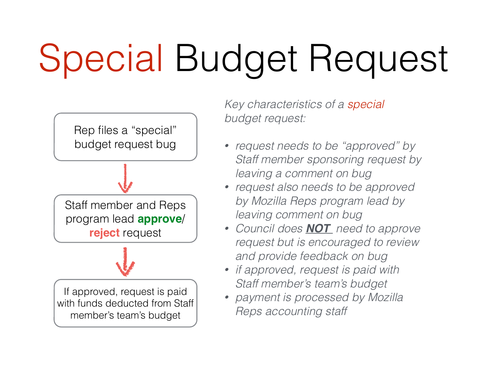## Special Budget Request



*Key characteristics of a special budget request:* 

- *• request needs to be "approved" by Staff member sponsoring request by leaving a comment on bug*
- *• request also needs to be approved by Mozilla Reps program lead by leaving comment on bug*
- *• Council does NOT need to approve request but is encouraged to review and provide feedback on bug*
- *• if approved, request is paid with Staff member's team's budget*
- *• payment is processed by Mozilla Reps accounting staff*